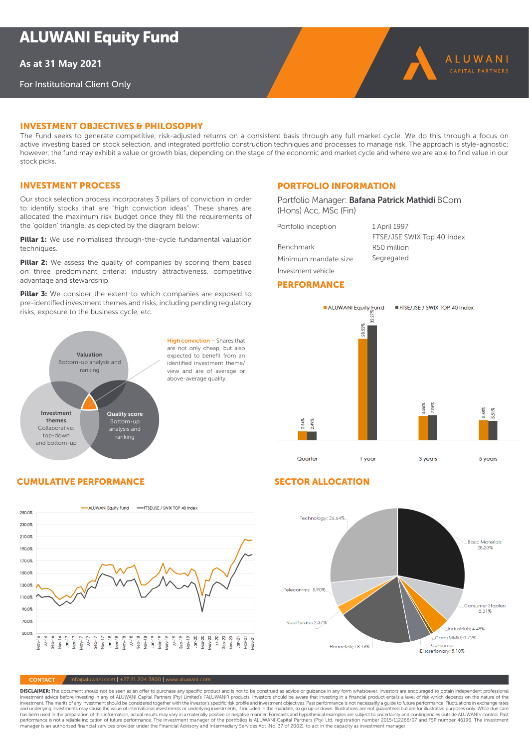**As at 31 May 2021**

For Institutional Client Only

# iNVesTmeNT OBJecTiVes & PHilOsOPHY

The Fund seeks to generate competitive, risk-adjusted returns on a consistent basis through any full market cycle. We do this through a focus on active investing based on stock selection, and integrated portfolio construction techniques and processes to manage risk. The approach is style-agnostic; however, the fund may exhibit a value or growth bias, depending on the stage of the economic and market cycle and where we are able to find value in our stock picks.

# Investment process

Our stock selection process incorporates 3 pillars of conviction in order to identify stocks that are "high conviction ideas". These shares are allocated the maximum risk budget once they fill the requirements of the 'golden' triangle, as depicted by the diagram below:

**Pillar 1:** We use normalised through-the-cycle fundamental valuation techniques.

Pillar 2: We assess the quality of companies by scoring them based on three predominant criteria: industry attractiveness, competitive advantage and stewardship.

Pillar 3: We consider the extent to which companies are exposed to pre-identified investment themes and risks, including pending regulatory risks, exposure to the business cycle, etc.



are not only cheap, but also expected to benefit from an identified investment theme/ view and are of average or above-average quality.

# **PORTFOLIO INFORMATION**

Portfolio Manager: Bafana Patrick Mathidi BCom (Hons) Acc, MSc (Fin)

Portfolio inception 1 April 1997

Benchmark Minimum mandate size Investment vehicle

FTSE/JSE SWIX Top 40 Index R50 million Segregated

ALUWANI

# **PERFORMANCE**

# **CUMULATIVE PERFORMANCE SECTOR ALLOCATION**





 $\sqrt{\frac{1}{100}}$  info@aluwani.com | +27 21 204 3800 | www.aluwani.com

**DISCLAIMER:** The document should not be seen as an offer to purchase any specific product and is not to be construed as advice or guidance in any form whatsoever. Investors are encouraged to obtain independent professiona and underlying investments may cause the value of international investments or underlying investments. if included in the mandate, to go up or down. Illustrations are not quaranteed but are for illustrative purposes only. has been used in the preparation of this information, actual results may vary in a materially positive or negative manner. Forecasts and hypothetical examples are subject to uncertainty and contingencies outside ALUWANI's